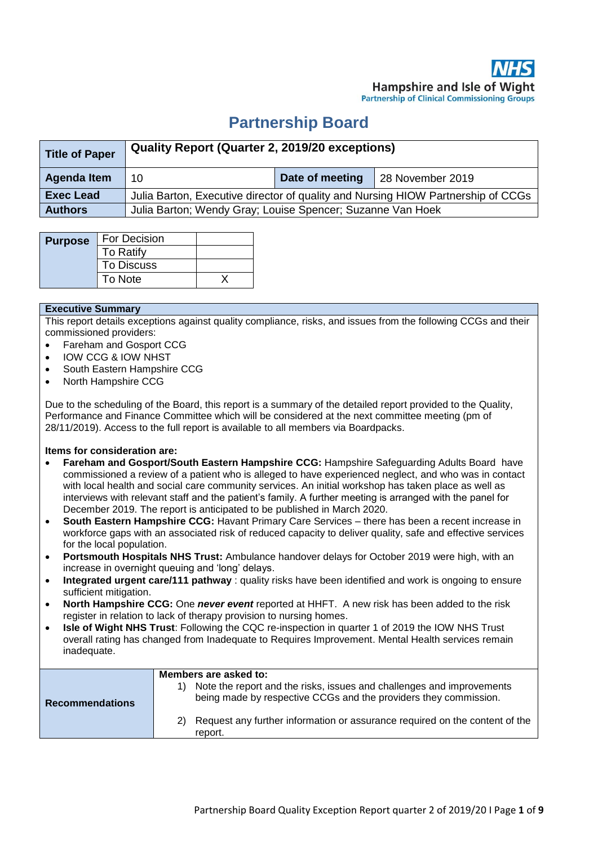# **Partnership Board**

| Title of Paper     | Quality Report (Quarter 2, 2019/20 exceptions)                                   |                 |                  |  |  |  |
|--------------------|----------------------------------------------------------------------------------|-----------------|------------------|--|--|--|
| <b>Agenda Item</b> | 10                                                                               | Date of meeting | 28 November 2019 |  |  |  |
| <b>Exec Lead</b>   | Julia Barton, Executive director of quality and Nursing HIOW Partnership of CCGs |                 |                  |  |  |  |
| <b>Authors</b>     | Julia Barton; Wendy Gray; Louise Spencer; Suzanne Van Hoek                       |                 |                  |  |  |  |

| <b>Purpose</b> | For Decision      |  |
|----------------|-------------------|--|
|                | To Ratify         |  |
|                | <b>To Discuss</b> |  |
|                | To Note           |  |

#### **Executive Summary**

This report details exceptions against quality compliance, risks, and issues from the following CCGs and their commissioned providers:

- Fareham and Gosport CCG
- IOW CCG & IOW NHST
- South Eastern Hampshire CCG
- North Hampshire CCG

Due to the scheduling of the Board, this report is a summary of the detailed report provided to the Quality, Performance and Finance Committee which will be considered at the next committee meeting (pm of 28/11/2019). Access to the full report is available to all members via Boardpacks.

#### **Items for consideration are:**

- **Fareham and Gosport/South Eastern Hampshire CCG: Hampshire Safeguarding Adults Board have** commissioned a review of a patient who is alleged to have experienced neglect, and who was in contact with local health and social care community services. An initial workshop has taken place as well as interviews with relevant staff and the patient's family. A further meeting is arranged with the panel for December 2019. The report is anticipated to be published in March 2020.
- **South Eastern Hampshire CCG:** Havant Primary Care Services there has been a recent increase in workforce gaps with an associated risk of reduced capacity to deliver quality, safe and effective services for the local population.
- **Portsmouth Hospitals NHS Trust:** Ambulance handover delays for October 2019 were high, with an increase in overnight queuing and 'long' delays.
- **Integrated urgent care/111 pathway** : quality risks have been identified and work is ongoing to ensure sufficient mitigation.
- **North Hampshire CCG:** One *never event* reported at HHFT. A new risk has been added to the risk register in relation to lack of therapy provision to nursing homes.
- **Isle of Wight NHS Trust**: Following the CQC re-inspection in quarter 1 of 2019 the IOW NHS Trust overall rating has changed from Inadequate to Requires Improvement. Mental Health services remain inadequate.

| <b>Recommendations</b> | Members are asked to:<br>Note the report and the risks, issues and challenges and improvements<br>being made by respective CCGs and the providers they commission. |
|------------------------|--------------------------------------------------------------------------------------------------------------------------------------------------------------------|
|                        | Request any further information or assurance required on the content of the<br>report.                                                                             |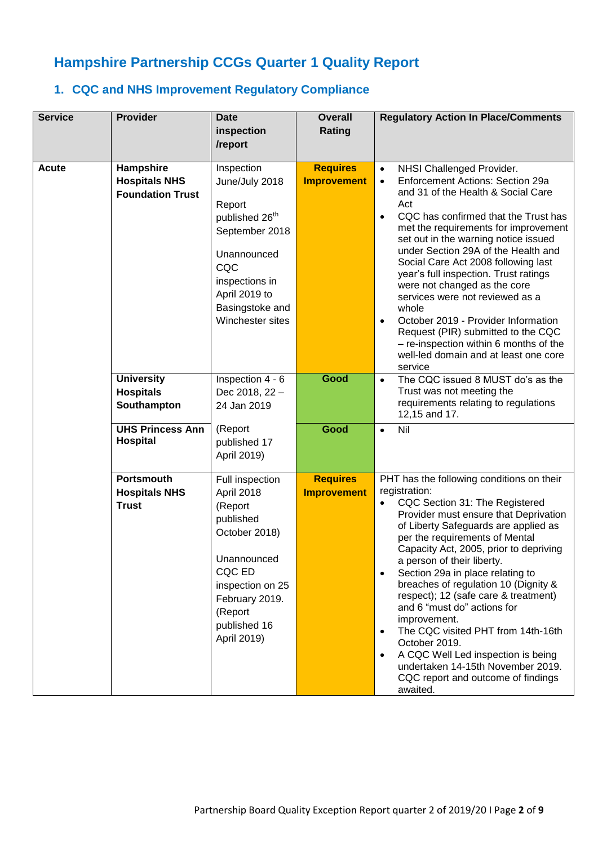# **Hampshire Partnership CCGs Quarter 1 Quality Report**

### **1. CQC and NHS Improvement Regulatory Compliance**

| <b>Service</b>                                                                              | <b>Provider</b>                                              | <b>Date</b><br>inspection<br>/report                                                                                                                                                   | <b>Overall</b><br>Rating              | <b>Regulatory Action In Place/Comments</b>                                                                                                                                                                                                                                                                                                                                                                                                                                                                                                                                                                                                                               |
|---------------------------------------------------------------------------------------------|--------------------------------------------------------------|----------------------------------------------------------------------------------------------------------------------------------------------------------------------------------------|---------------------------------------|--------------------------------------------------------------------------------------------------------------------------------------------------------------------------------------------------------------------------------------------------------------------------------------------------------------------------------------------------------------------------------------------------------------------------------------------------------------------------------------------------------------------------------------------------------------------------------------------------------------------------------------------------------------------------|
| <b>Acute</b>                                                                                | Hampshire<br><b>Hospitals NHS</b><br><b>Foundation Trust</b> | Inspection<br>June/July 2018<br>Report<br>published 26 <sup>th</sup><br>September 2018<br>Unannounced<br>CQC<br>inspections in<br>April 2019 to<br>Basingstoke and<br>Winchester sites | <b>Requires</b><br><b>Improvement</b> | NHSI Challenged Provider.<br>$\bullet$<br>Enforcement Actions: Section 29a<br>$\bullet$<br>and 31 of the Health & Social Care<br>Act<br>CQC has confirmed that the Trust has<br>$\bullet$<br>met the requirements for improvement<br>set out in the warning notice issued<br>under Section 29A of the Health and<br>Social Care Act 2008 following last<br>year's full inspection. Trust ratings<br>were not changed as the core<br>services were not reviewed as a<br>whole<br>October 2019 - Provider Information<br>$\bullet$<br>Request (PIR) submitted to the CQC<br>- re-inspection within 6 months of the<br>well-led domain and at least one core<br>service     |
| <b>University</b><br><b>Hospitals</b><br>Southampton<br><b>UHS Princess Ann</b><br>Hospital |                                                              | Inspection 4 - 6<br>Dec 2018, 22 -<br>24 Jan 2019                                                                                                                                      | Good                                  | The CQC issued 8 MUST do's as the<br>$\bullet$<br>Trust was not meeting the<br>requirements relating to regulations<br>12,15 and 17.                                                                                                                                                                                                                                                                                                                                                                                                                                                                                                                                     |
|                                                                                             |                                                              | (Report<br>published 17<br>April 2019)                                                                                                                                                 | Good                                  | Nil<br>$\bullet$                                                                                                                                                                                                                                                                                                                                                                                                                                                                                                                                                                                                                                                         |
|                                                                                             | <b>Portsmouth</b><br><b>Hospitals NHS</b><br><b>Trust</b>    | Full inspection<br>April 2018<br>(Report<br>published<br>October 2018)<br>Unannounced<br>CQC ED<br>inspection on 25<br>February 2019.<br>(Report<br>published 16<br>April 2019)        | <b>Requires</b><br><b>Improvement</b> | PHT has the following conditions on their<br>registration:<br>CQC Section 31: The Registered<br>$\bullet$<br>Provider must ensure that Deprivation<br>of Liberty Safeguards are applied as<br>per the requirements of Mental<br>Capacity Act, 2005, prior to depriving<br>a person of their liberty.<br>Section 29a in place relating to<br>breaches of regulation 10 (Dignity &<br>respect); 12 (safe care & treatment)<br>and 6 "must do" actions for<br>improvement.<br>The CQC visited PHT from 14th-16th<br>October 2019.<br>A CQC Well Led inspection is being<br>$\bullet$<br>undertaken 14-15th November 2019.<br>CQC report and outcome of findings<br>awaited. |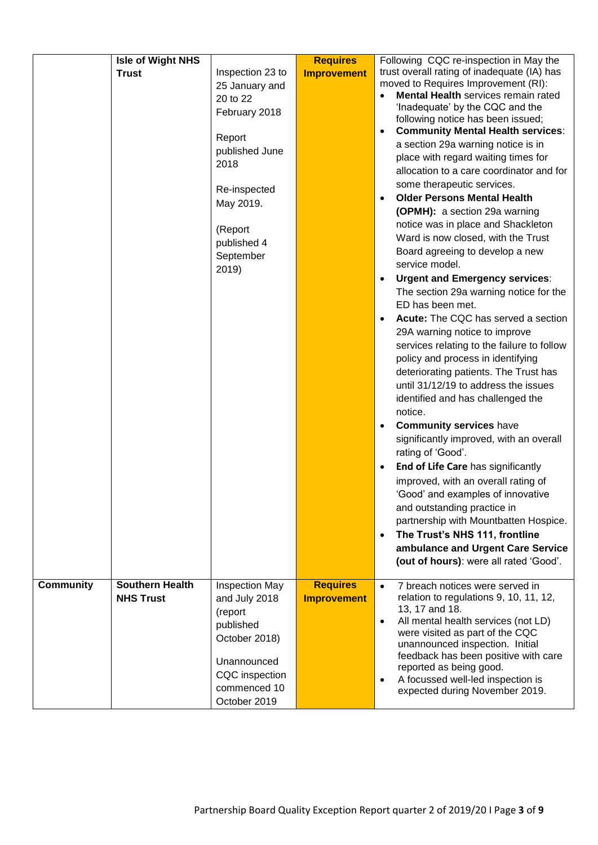|                  | Isle of Wight NHS                          |                                                                                                                                                                                  | <b>Requires</b>                       | Following CQC re-inspection in May the                                                                                                                                                                                                                                                                                                                                                                                                                                                                                                                                                                                                                                                                                                                                                                                                                                                                                                                                                                                                                                                                                                                                                                                                                                                                                                                                                                                                                                                                                  |
|------------------|--------------------------------------------|----------------------------------------------------------------------------------------------------------------------------------------------------------------------------------|---------------------------------------|-------------------------------------------------------------------------------------------------------------------------------------------------------------------------------------------------------------------------------------------------------------------------------------------------------------------------------------------------------------------------------------------------------------------------------------------------------------------------------------------------------------------------------------------------------------------------------------------------------------------------------------------------------------------------------------------------------------------------------------------------------------------------------------------------------------------------------------------------------------------------------------------------------------------------------------------------------------------------------------------------------------------------------------------------------------------------------------------------------------------------------------------------------------------------------------------------------------------------------------------------------------------------------------------------------------------------------------------------------------------------------------------------------------------------------------------------------------------------------------------------------------------------|
|                  | <b>Trust</b>                               | Inspection 23 to<br>25 January and<br>20 to 22<br>February 2018<br>Report<br>published June<br>2018<br>Re-inspected<br>May 2019.<br>(Report<br>published 4<br>September<br>2019) | <b>Improvement</b>                    | trust overall rating of inadequate (IA) has<br>moved to Requires Improvement (RI):<br>Mental Health services remain rated<br>'Inadequate' by the CQC and the<br>following notice has been issued;<br><b>Community Mental Health services:</b><br>$\bullet$<br>a section 29a warning notice is in<br>place with regard waiting times for<br>allocation to a care coordinator and for<br>some therapeutic services.<br><b>Older Persons Mental Health</b><br>$\bullet$<br>(OPMH): a section 29a warning<br>notice was in place and Shackleton<br>Ward is now closed, with the Trust<br>Board agreeing to develop a new<br>service model.<br><b>Urgent and Emergency services:</b><br>$\bullet$<br>The section 29a warning notice for the<br>ED has been met.<br>Acute: The CQC has served a section<br>$\bullet$<br>29A warning notice to improve<br>services relating to the failure to follow<br>policy and process in identifying<br>deteriorating patients. The Trust has<br>until 31/12/19 to address the issues<br>identified and has challenged the<br>notice.<br><b>Community services have</b><br>$\bullet$<br>significantly improved, with an overall<br>rating of 'Good'.<br>End of Life Care has significantly<br>$\bullet$<br>improved, with an overall rating of<br>'Good' and examples of innovative<br>and outstanding practice in<br>partnership with Mountbatten Hospice.<br>The Trust's NHS 111, frontline<br>$\bullet$<br>ambulance and Urgent Care Service<br>(out of hours): were all rated 'Good'. |
| <b>Community</b> | <b>Southern Health</b><br><b>NHS Trust</b> | <b>Inspection May</b><br>and July 2018<br>(report<br>published<br>October 2018)<br>Unannounced<br>CQC inspection<br>commenced 10<br>October 2019                                 | <b>Requires</b><br><b>Improvement</b> | 7 breach notices were served in<br>$\bullet$<br>relation to regulations 9, 10, 11, 12,<br>13, 17 and 18.<br>All mental health services (not LD)<br>$\bullet$<br>were visited as part of the CQC<br>unannounced inspection. Initial<br>feedback has been positive with care<br>reported as being good.<br>A focussed well-led inspection is<br>$\bullet$<br>expected during November 2019.                                                                                                                                                                                                                                                                                                                                                                                                                                                                                                                                                                                                                                                                                                                                                                                                                                                                                                                                                                                                                                                                                                                               |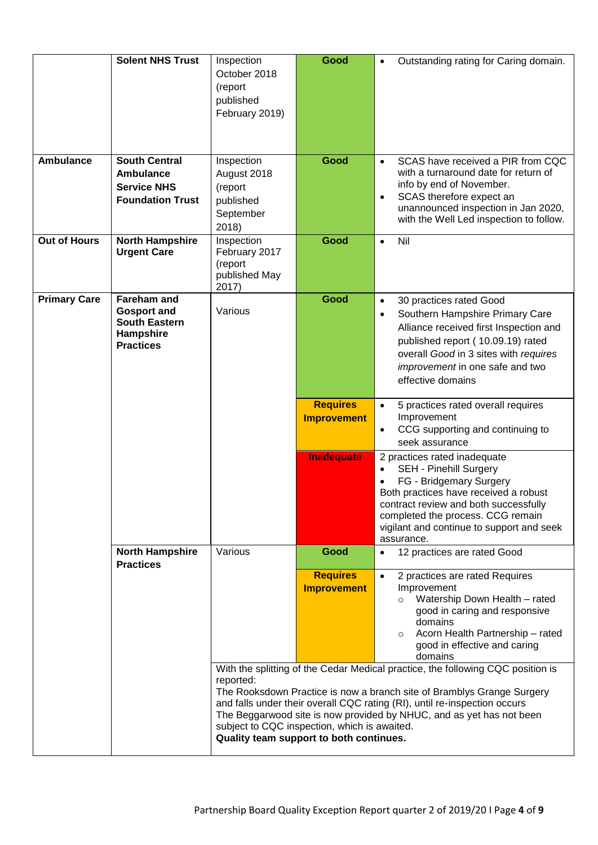|                     | <b>Solent NHS Trust</b>                                                                           | Inspection<br>October 2018<br>(report<br>published<br>February 2019)                                 | Good                                                                                                                                                                                                                                                                                                           | Outstanding rating for Caring domain.<br>$\bullet$                                                                                                                                                                                                                                      |
|---------------------|---------------------------------------------------------------------------------------------------|------------------------------------------------------------------------------------------------------|----------------------------------------------------------------------------------------------------------------------------------------------------------------------------------------------------------------------------------------------------------------------------------------------------------------|-----------------------------------------------------------------------------------------------------------------------------------------------------------------------------------------------------------------------------------------------------------------------------------------|
| <b>Ambulance</b>    | <b>South Central</b><br>Ambulance<br><b>Service NHS</b><br><b>Foundation Trust</b>                | Inspection<br>August 2018<br>(report<br>published<br>September<br>2018)                              | Good                                                                                                                                                                                                                                                                                                           | SCAS have received a PIR from CQC<br>$\bullet$<br>with a turnaround date for return of<br>info by end of November.<br>SCAS therefore expect an<br>٠<br>unannounced inspection in Jan 2020,<br>with the Well Led inspection to follow.                                                   |
| <b>Out of Hours</b> | <b>North Hampshire</b><br><b>Urgent Care</b>                                                      | Inspection<br>February 2017<br>(report<br>published May<br>2017)                                     | Good                                                                                                                                                                                                                                                                                                           | Nil<br>$\bullet$                                                                                                                                                                                                                                                                        |
| <b>Primary Care</b> | <b>Fareham and</b><br><b>Gosport and</b><br><b>South Eastern</b><br>Hampshire<br><b>Practices</b> | Various                                                                                              | Good                                                                                                                                                                                                                                                                                                           | 30 practices rated Good<br>$\bullet$<br>Southern Hampshire Primary Care<br>$\bullet$<br>Alliance received first Inspection and<br>published report (10.09.19) rated<br>overall Good in 3 sites with requires<br>improvement in one safe and two<br>effective domains                    |
|                     |                                                                                                   |                                                                                                      | <b>Requires</b><br><b>Improvement</b>                                                                                                                                                                                                                                                                          | 5 practices rated overall requires<br>$\bullet$<br>Improvement<br>CCG supporting and continuing to<br>$\bullet$<br>seek assurance                                                                                                                                                       |
|                     |                                                                                                   |                                                                                                      | <b>Inadequate</b>                                                                                                                                                                                                                                                                                              | 2 practices rated inadequate<br><b>SEH - Pinehill Surgery</b><br>$\bullet$<br>FG - Bridgemary Surgery<br>Both practices have received a robust<br>contract review and both successfully<br>completed the process. CCG remain<br>vigilant and continue to support and seek<br>assurance. |
|                     | <b>North Hampshire</b><br><b>Practices</b>                                                        | Various                                                                                              | Good                                                                                                                                                                                                                                                                                                           | 12 practices are rated Good                                                                                                                                                                                                                                                             |
|                     |                                                                                                   |                                                                                                      | <b>Requires</b><br><b>Improvement</b>                                                                                                                                                                                                                                                                          | 2 practices are rated Requires<br>$\bullet$<br>Improvement<br>Watership Down Health - rated<br>$\circ$<br>good in caring and responsive<br>domains<br>Acorn Health Partnership - rated<br>$\circ$<br>good in effective and caring<br>domains                                            |
|                     |                                                                                                   | reported:<br>subject to CQC inspection, which is awaited.<br>Quality team support to both continues. | With the splitting of the Cedar Medical practice, the following CQC position is<br>The Rooksdown Practice is now a branch site of Bramblys Grange Surgery<br>and falls under their overall CQC rating (RI), until re-inspection occurs<br>The Beggarwood site is now provided by NHUC, and as yet has not been |                                                                                                                                                                                                                                                                                         |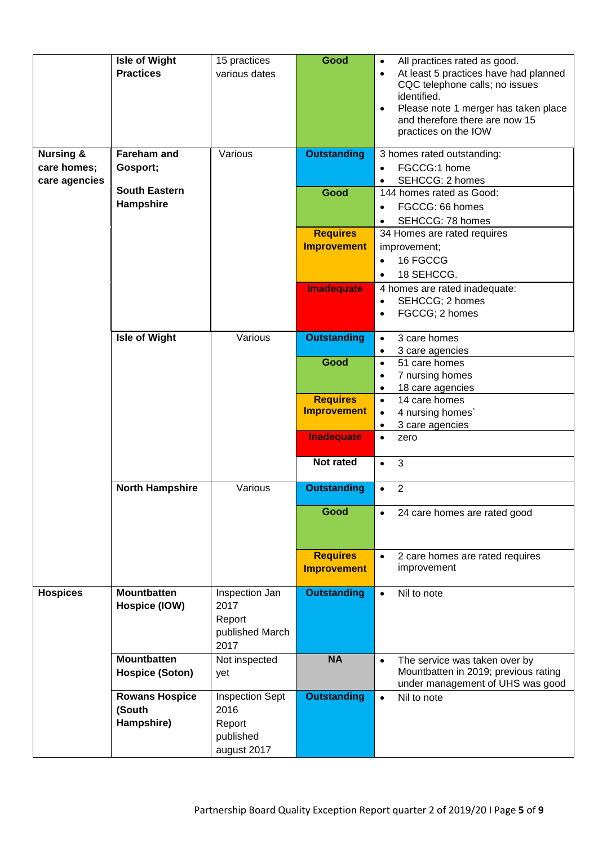| <b>Nursing &amp;</b>         | <b>Isle of Wight</b><br><b>Practices</b><br><b>Fareham and</b> | 15 practices<br>various dates<br>Various                             | Good<br><b>Outstanding</b>            | All practices rated as good.<br>$\bullet$<br>At least 5 practices have had planned<br>$\bullet$<br>CQC telephone calls; no issues<br>identified.<br>Please note 1 merger has taken place<br>$\bullet$<br>and therefore there are now 15<br>practices on the IOW<br>3 homes rated outstanding: |
|------------------------------|----------------------------------------------------------------|----------------------------------------------------------------------|---------------------------------------|-----------------------------------------------------------------------------------------------------------------------------------------------------------------------------------------------------------------------------------------------------------------------------------------------|
| care homes;<br>care agencies | Gosport;<br><b>South Eastern</b>                               |                                                                      |                                       | FGCCG:1 home<br>$\bullet$<br>SEHCCG: 2 homes                                                                                                                                                                                                                                                  |
|                              | Hampshire                                                      |                                                                      | Good                                  | 144 homes rated as Good:<br>FGCCG: 66 homes<br>$\bullet$<br>SEHCCG: 78 homes<br>$\bullet$                                                                                                                                                                                                     |
|                              |                                                                |                                                                      | <b>Requires</b><br><b>Improvement</b> | 34 Homes are rated requires<br>improvement;<br>16 FGCCG<br>$\bullet$<br>18 SEHCCG.<br>$\bullet$                                                                                                                                                                                               |
|                              |                                                                |                                                                      | Imadequate                            | 4 homes are rated inadequate:<br>SEHCCG; 2 homes<br>$\bullet$<br>FGCCG; 2 homes<br>$\bullet$                                                                                                                                                                                                  |
|                              | <b>Isle of Wight</b>                                           | Various                                                              | <b>Outstanding</b>                    | 3 care homes<br>$\bullet$<br>3 care agencies<br>$\bullet$                                                                                                                                                                                                                                     |
|                              |                                                                |                                                                      | Good                                  | 51 care homes<br>$\bullet$<br>7 nursing homes<br>$\bullet$<br>18 care agencies<br>$\bullet$                                                                                                                                                                                                   |
|                              |                                                                |                                                                      | <b>Requires</b><br><b>Improvement</b> | 14 care homes<br>$\bullet$<br>4 nursing homes<br>$\bullet$<br>3 care agencies<br>$\bullet$                                                                                                                                                                                                    |
|                              |                                                                |                                                                      | <b>Inadequate</b><br>Not rated        | zero<br>$\bullet$<br>3<br>$\bullet$                                                                                                                                                                                                                                                           |
|                              | <b>North Hampshire</b>                                         | Various                                                              | <b>Outstanding</b>                    | $\overline{2}$<br>$\bullet$                                                                                                                                                                                                                                                                   |
|                              |                                                                |                                                                      | Good                                  | 24 care homes are rated good                                                                                                                                                                                                                                                                  |
|                              |                                                                |                                                                      | <b>Requires</b><br><b>Improvement</b> | 2 care homes are rated requires<br>$\bullet$<br>improvement                                                                                                                                                                                                                                   |
| <b>Hospices</b>              | <b>Mountbatten</b><br>Hospice (IOW)                            | Inspection Jan<br>2017<br>Report<br>published March<br>2017          | <b>Outstanding</b>                    | Nil to note<br>$\bullet$                                                                                                                                                                                                                                                                      |
|                              | <b>Mountbatten</b><br><b>Hospice (Soton)</b>                   | Not inspected<br>yet                                                 | <b>NA</b>                             | The service was taken over by<br>$\bullet$<br>Mountbatten in 2019; previous rating<br>under management of UHS was good                                                                                                                                                                        |
|                              | <b>Rowans Hospice</b><br>(South<br>Hampshire)                  | <b>Inspection Sept</b><br>2016<br>Report<br>published<br>august 2017 | <b>Outstanding</b>                    | Nil to note<br>$\bullet$                                                                                                                                                                                                                                                                      |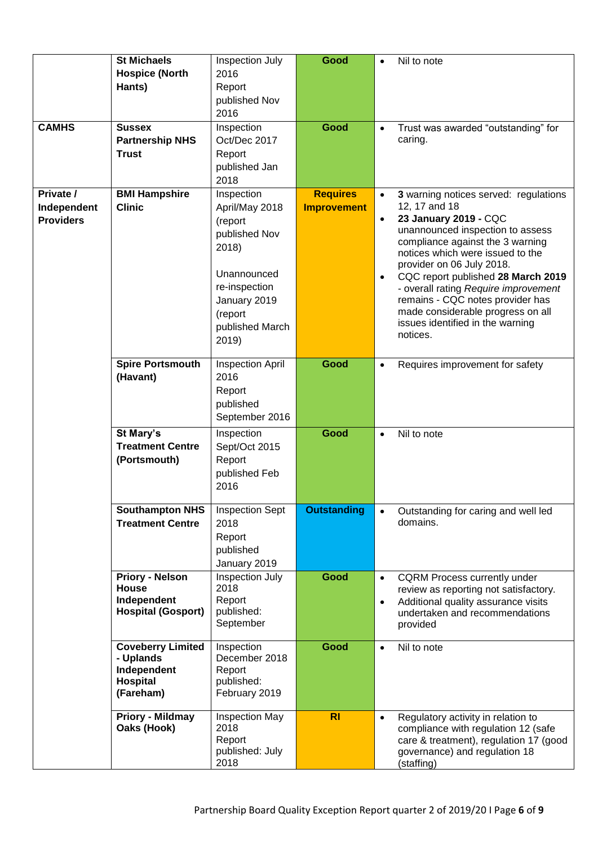| <b>CAMHS</b>                                         | <b>St Michaels</b><br><b>Hospice (North</b><br>Hants)<br><b>Sussex</b><br><b>Partnership NHS</b><br><b>Trust</b> | Inspection July<br>2016<br>Report<br>published Nov<br>2016<br>Inspection<br>Oct/Dec 2017<br>Report<br>published Jan | Good<br>Good                          | Nil to note<br>$\bullet$<br>Trust was awarded "outstanding" for<br>$\bullet$<br>caring.                                                                                                                                                                                                                                                                                                                                                                                |
|------------------------------------------------------|------------------------------------------------------------------------------------------------------------------|---------------------------------------------------------------------------------------------------------------------|---------------------------------------|------------------------------------------------------------------------------------------------------------------------------------------------------------------------------------------------------------------------------------------------------------------------------------------------------------------------------------------------------------------------------------------------------------------------------------------------------------------------|
|                                                      |                                                                                                                  | 2018<br>Inspection                                                                                                  |                                       |                                                                                                                                                                                                                                                                                                                                                                                                                                                                        |
| Private /<br>Independent<br><b>Providers</b>         | <b>BMI Hampshire</b><br><b>Clinic</b>                                                                            |                                                                                                                     | <b>Requires</b><br><b>Improvement</b> | 3 warning notices served: regulations<br>$\bullet$<br>12, 17 and 18<br>23 January 2019 - CQC<br>$\bullet$<br>unannounced inspection to assess<br>compliance against the 3 warning<br>notices which were issued to the<br>provider on 06 July 2018.<br>CQC report published 28 March 2019<br>$\bullet$<br>- overall rating Require improvement<br>remains - CQC notes provider has<br>made considerable progress on all<br>issues identified in the warning<br>notices. |
|                                                      | <b>Spire Portsmouth</b><br>(Havant)                                                                              | <b>Inspection April</b><br>2016<br>Report<br>published<br>September 2016                                            | Good                                  | Requires improvement for safety<br>$\bullet$                                                                                                                                                                                                                                                                                                                                                                                                                           |
| St Mary's<br><b>Treatment Centre</b><br>(Portsmouth) |                                                                                                                  | Inspection<br>Sept/Oct 2015<br>Report<br>published Feb<br>2016                                                      | Good                                  | Nil to note<br>$\bullet$                                                                                                                                                                                                                                                                                                                                                                                                                                               |
|                                                      | Southampton NHS<br><b>Treatment Centre</b>                                                                       | <b>Inspection Sept</b><br>2018<br>Report<br>published<br>January 2019                                               | <b>Outstanding</b>                    | Outstanding for caring and well led<br>domains.                                                                                                                                                                                                                                                                                                                                                                                                                        |
|                                                      | <b>Priory - Nelson</b><br><b>House</b><br>Independent<br><b>Hospital (Gosport)</b>                               | Inspection July<br>2018<br>Report<br>published:<br>September                                                        | Good                                  | <b>CQRM Process currently under</b><br>$\bullet$<br>review as reporting not satisfactory.<br>Additional quality assurance visits<br>$\bullet$<br>undertaken and recommendations<br>provided                                                                                                                                                                                                                                                                            |
|                                                      | <b>Coveberry Limited</b><br>- Uplands<br>Independent<br><b>Hospital</b><br>(Fareham)                             | Inspection<br>December 2018<br>Report<br>published:<br>February 2019                                                | Good                                  | Nil to note<br>$\bullet$                                                                                                                                                                                                                                                                                                                                                                                                                                               |
|                                                      | Priory - Mildmay<br>Oaks (Hook)                                                                                  | <b>Inspection May</b><br>2018<br>Report<br>published: July<br>2018                                                  | <b>RI</b>                             | Regulatory activity in relation to<br>$\bullet$<br>compliance with regulation 12 (safe<br>care & treatment), regulation 17 (good<br>governance) and regulation 18<br>(staffing)                                                                                                                                                                                                                                                                                        |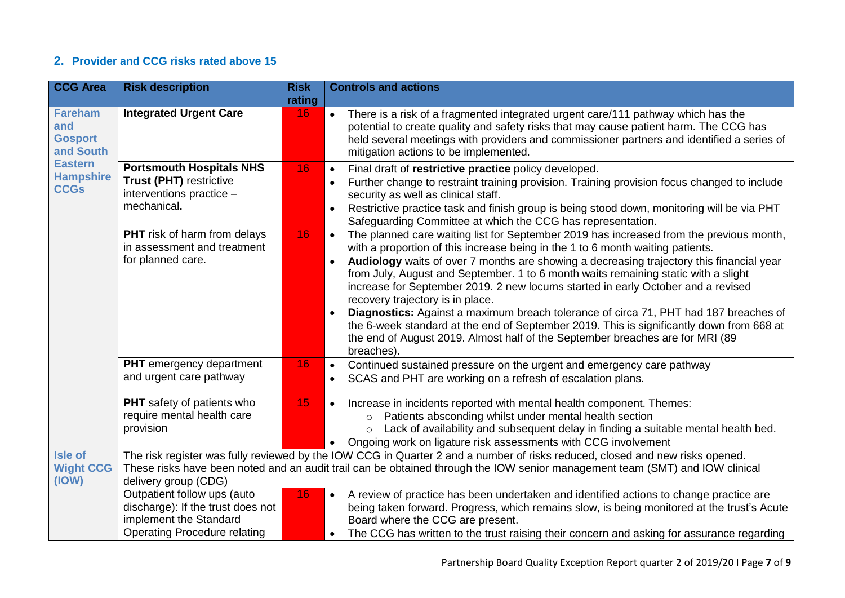#### **2. Provider and CCG risks rated above 15**

| <b>CCG Area</b>                                                                                           | <b>Risk description</b>                                                                                                           | <b>Risk</b> | <b>Controls and actions</b>                                                                                                                                                                                                                                                                                                                                                                                                                                                                                                                                                                                                                                                                                                                                                                      |
|-----------------------------------------------------------------------------------------------------------|-----------------------------------------------------------------------------------------------------------------------------------|-------------|--------------------------------------------------------------------------------------------------------------------------------------------------------------------------------------------------------------------------------------------------------------------------------------------------------------------------------------------------------------------------------------------------------------------------------------------------------------------------------------------------------------------------------------------------------------------------------------------------------------------------------------------------------------------------------------------------------------------------------------------------------------------------------------------------|
|                                                                                                           |                                                                                                                                   | rating      |                                                                                                                                                                                                                                                                                                                                                                                                                                                                                                                                                                                                                                                                                                                                                                                                  |
| <b>Fareham</b><br>and<br><b>Gosport</b><br>and South<br><b>Eastern</b><br><b>Hampshire</b><br><b>CCGs</b> | <b>Integrated Urgent Care</b>                                                                                                     | 16          | There is a risk of a fragmented integrated urgent care/111 pathway which has the<br>potential to create quality and safety risks that may cause patient harm. The CCG has<br>held several meetings with providers and commissioner partners and identified a series of<br>mitigation actions to be implemented.                                                                                                                                                                                                                                                                                                                                                                                                                                                                                  |
|                                                                                                           | <b>Portsmouth Hospitals NHS</b><br><b>Trust (PHT) restrictive</b><br>interventions practice -<br>mechanical.                      | 16          | Final draft of restrictive practice policy developed.<br>$\bullet$<br>Further change to restraint training provision. Training provision focus changed to include<br>security as well as clinical staff.<br>Restrictive practice task and finish group is being stood down, monitoring will be via PHT<br>Safeguarding Committee at which the CCG has representation.                                                                                                                                                                                                                                                                                                                                                                                                                            |
|                                                                                                           | <b>PHT</b> risk of harm from delays<br>in assessment and treatment<br>for planned care.                                           | 16          | The planned care waiting list for September 2019 has increased from the previous month,<br>$\bullet$<br>with a proportion of this increase being in the 1 to 6 month waiting patients.<br>Audiology waits of over 7 months are showing a decreasing trajectory this financial year<br>$\bullet$<br>from July, August and September. 1 to 6 month waits remaining static with a slight<br>increase for September 2019. 2 new locums started in early October and a revised<br>recovery trajectory is in place.<br>Diagnostics: Against a maximum breach tolerance of circa 71, PHT had 187 breaches of<br>the 6-week standard at the end of September 2019. This is significantly down from 668 at<br>the end of August 2019. Almost half of the September breaches are for MRI (89<br>breaches). |
|                                                                                                           | <b>PHT</b> emergency department<br>and urgent care pathway                                                                        | 16          | Continued sustained pressure on the urgent and emergency care pathway<br>$\bullet$<br>SCAS and PHT are working on a refresh of escalation plans.                                                                                                                                                                                                                                                                                                                                                                                                                                                                                                                                                                                                                                                 |
|                                                                                                           | PHT safety of patients who<br>require mental health care<br>provision                                                             | 15          | Increase in incidents reported with mental health component. Themes:<br>$\bullet$<br>Patients absconding whilst under mental health section<br>$\circ$<br>Lack of availability and subsequent delay in finding a suitable mental health bed.<br>$\circ$<br>• Ongoing work on ligature risk assessments with CCG involvement                                                                                                                                                                                                                                                                                                                                                                                                                                                                      |
| <b>Isle of</b>                                                                                            |                                                                                                                                   |             | The risk register was fully reviewed by the IOW CCG in Quarter 2 and a number of risks reduced, closed and new risks opened.                                                                                                                                                                                                                                                                                                                                                                                                                                                                                                                                                                                                                                                                     |
| <b>Wight CCG</b><br>(IOW)                                                                                 | delivery group (CDG)                                                                                                              |             | These risks have been noted and an audit trail can be obtained through the IOW senior management team (SMT) and IOW clinical                                                                                                                                                                                                                                                                                                                                                                                                                                                                                                                                                                                                                                                                     |
|                                                                                                           | Outpatient follow ups (auto<br>discharge): If the trust does not<br>implement the Standard<br><b>Operating Procedure relating</b> | 16          | • A review of practice has been undertaken and identified actions to change practice are<br>being taken forward. Progress, which remains slow, is being monitored at the trust's Acute<br>Board where the CCG are present.<br>The CCG has written to the trust raising their concern and asking for assurance regarding<br>$\bullet$                                                                                                                                                                                                                                                                                                                                                                                                                                                             |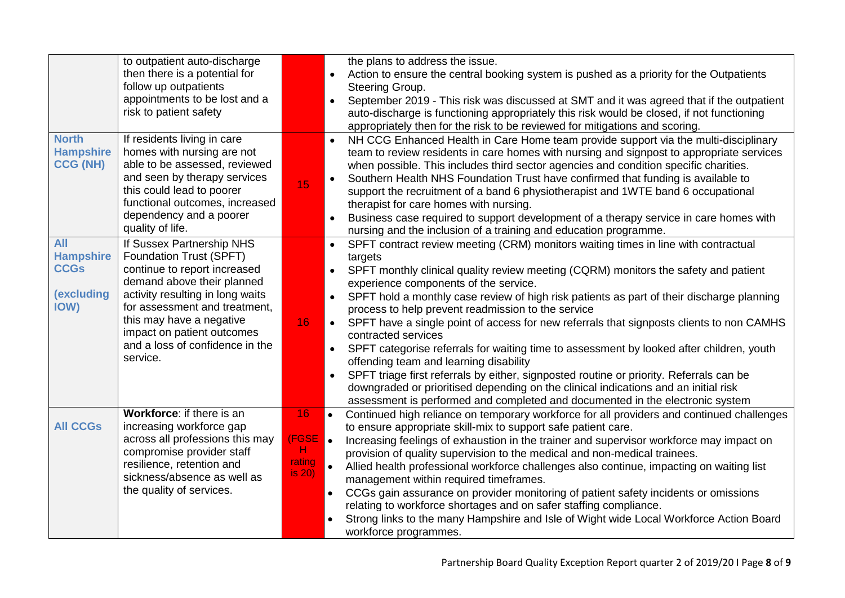|                                                                            | to outpatient auto-discharge<br>then there is a potential for<br>follow up outpatients<br>appointments to be lost and a<br>risk to patient safety                                                                                                                                                |                                            | the plans to address the issue.<br>Action to ensure the central booking system is pushed as a priority for the Outpatients<br>$\bullet$<br>Steering Group.<br>September 2019 - This risk was discussed at SMT and it was agreed that if the outpatient<br>$\bullet$<br>auto-discharge is functioning appropriately this risk would be closed, if not functioning<br>appropriately then for the risk to be reviewed for mitigations and scoring.                                                                                                                                                                                                                                                                                                                                                                                                                                                                                                                                            |
|----------------------------------------------------------------------------|--------------------------------------------------------------------------------------------------------------------------------------------------------------------------------------------------------------------------------------------------------------------------------------------------|--------------------------------------------|--------------------------------------------------------------------------------------------------------------------------------------------------------------------------------------------------------------------------------------------------------------------------------------------------------------------------------------------------------------------------------------------------------------------------------------------------------------------------------------------------------------------------------------------------------------------------------------------------------------------------------------------------------------------------------------------------------------------------------------------------------------------------------------------------------------------------------------------------------------------------------------------------------------------------------------------------------------------------------------------|
| <b>North</b><br><b>Hampshire</b><br><b>CCG (NH)</b>                        | If residents living in care<br>homes with nursing are not<br>able to be assessed, reviewed<br>and seen by therapy services<br>this could lead to poorer<br>functional outcomes, increased<br>dependency and a poorer<br>quality of life.                                                         | 15                                         | NH CCG Enhanced Health in Care Home team provide support via the multi-disciplinary<br>$\bullet$<br>team to review residents in care homes with nursing and signpost to appropriate services<br>when possible. This includes third sector agencies and condition specific charities.<br>Southern Health NHS Foundation Trust have confirmed that funding is available to<br>$\bullet$<br>support the recruitment of a band 6 physiotherapist and 1WTE band 6 occupational<br>therapist for care homes with nursing.<br>Business case required to support development of a therapy service in care homes with<br>$\bullet$<br>nursing and the inclusion of a training and education programme.                                                                                                                                                                                                                                                                                              |
| <b>All</b><br><b>Hampshire</b><br><b>CCGs</b><br><b>(excluding</b><br>IOW) | If Sussex Partnership NHS<br>Foundation Trust (SPFT)<br>continue to report increased<br>demand above their planned<br>activity resulting in long waits<br>for assessment and treatment,<br>this may have a negative<br>impact on patient outcomes<br>and a loss of confidence in the<br>service. | 16                                         | SPFT contract review meeting (CRM) monitors waiting times in line with contractual<br>$\bullet$<br>targets<br>SPFT monthly clinical quality review meeting (CQRM) monitors the safety and patient<br>$\bullet$<br>experience components of the service.<br>$\bullet$<br>SPFT hold a monthly case review of high risk patients as part of their discharge planning<br>process to help prevent readmission to the service<br>SPFT have a single point of access for new referrals that signposts clients to non CAMHS<br>$\bullet$<br>contracted services<br>SPFT categorise referrals for waiting time to assessment by looked after children, youth<br>$\bullet$<br>offending team and learning disability<br>SPFT triage first referrals by either, signposted routine or priority. Referrals can be<br>$\bullet$<br>downgraded or prioritised depending on the clinical indications and an initial risk<br>assessment is performed and completed and documented in the electronic system |
| <b>All CCGs</b>                                                            | Workforce: if there is an<br>increasing workforce gap<br>across all professions this may<br>compromise provider staff<br>resilience, retention and<br>sickness/absence as well as<br>the quality of services.                                                                                    | 16<br><b>FGSE</b><br>H<br>rating<br>is 20) | Continued high reliance on temporary workforce for all providers and continued challenges<br>to ensure appropriate skill-mix to support safe patient care.<br>$\bullet$<br>Increasing feelings of exhaustion in the trainer and supervisor workforce may impact on<br>provision of quality supervision to the medical and non-medical trainees.<br>$\bullet$<br>Allied health professional workforce challenges also continue, impacting on waiting list<br>management within required timeframes.<br>CCGs gain assurance on provider monitoring of patient safety incidents or omissions<br>relating to workforce shortages and on safer staffing compliance.<br>Strong links to the many Hampshire and Isle of Wight wide Local Workforce Action Board<br>workforce programmes.                                                                                                                                                                                                          |